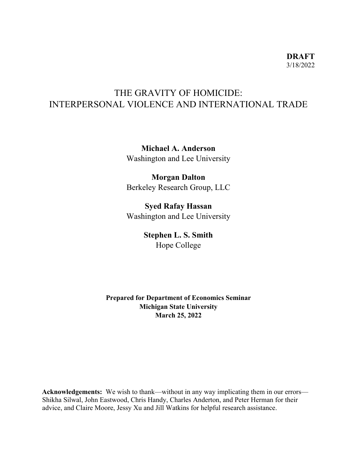# THE GRAVITY OF HOMICIDE: INTERPERSONAL VIOLENCE AND INTERNATIONAL TRADE

**Michael A. Anderson**  Washington and Lee University

**Morgan Dalton**  Berkeley Research Group, LLC

**Syed Rafay Hassan**  Washington and Lee University

> **Stephen L. S. Smith**  Hope College

**Prepared for Department of Economics Seminar Michigan State University March 25, 2022**

**Acknowledgements:** We wish to thank—without in any way implicating them in our errors— Shikha Silwal, John Eastwood, Chris Handy, Charles Anderton, and Peter Herman for their advice, and Claire Moore, Jessy Xu and Jill Watkins for helpful research assistance.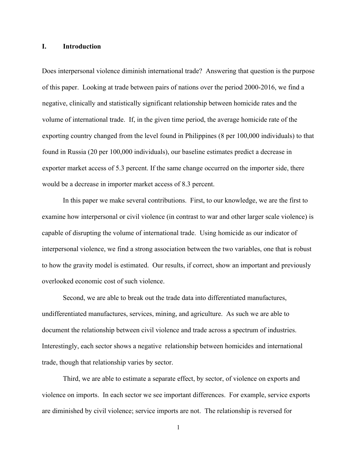#### **I. Introduction**

Does interpersonal violence diminish international trade? Answering that question is the purpose of this paper. Looking at trade between pairs of nations over the period 2000-2016, we find a negative, clinically and statistically significant relationship between homicide rates and the volume of international trade. If, in the given time period, the average homicide rate of the exporting country changed from the level found in Philippines (8 per 100,000 individuals) to that found in Russia (20 per 100,000 individuals), our baseline estimates predict a decrease in exporter market access of 5.3 percent. If the same change occurred on the importer side, there would be a decrease in importer market access of 8.3 percent.

In this paper we make several contributions. First, to our knowledge, we are the first to examine how interpersonal or civil violence (in contrast to war and other larger scale violence) is capable of disrupting the volume of international trade. Using homicide as our indicator of interpersonal violence, we find a strong association between the two variables, one that is robust to how the gravity model is estimated. Our results, if correct, show an important and previously overlooked economic cost of such violence.

Second, we are able to break out the trade data into differentiated manufactures, undifferentiated manufactures, services, mining, and agriculture. As such we are able to document the relationship between civil violence and trade across a spectrum of industries. Interestingly, each sector shows a negative relationship between homicides and international trade, though that relationship varies by sector.

Third, we are able to estimate a separate effect, by sector, of violence on exports and violence on imports. In each sector we see important differences. For example, service exports are diminished by civil violence; service imports are not. The relationship is reversed for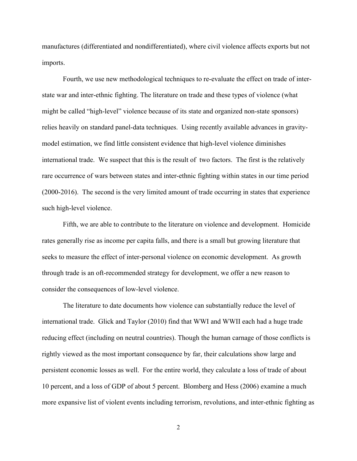manufactures (differentiated and nondifferentiated), where civil violence affects exports but not imports.

Fourth, we use new methodological techniques to re-evaluate the effect on trade of interstate war and inter-ethnic fighting. The literature on trade and these types of violence (what might be called "high-level" violence because of its state and organized non-state sponsors) relies heavily on standard panel-data techniques. Using recently available advances in gravitymodel estimation, we find little consistent evidence that high-level violence diminishes international trade. We suspect that this is the result of two factors. The first is the relatively rare occurrence of wars between states and inter-ethnic fighting within states in our time period (2000-2016). The second is the very limited amount of trade occurring in states that experience such high-level violence.

Fifth, we are able to contribute to the literature on violence and development. Homicide rates generally rise as income per capita falls, and there is a small but growing literature that seeks to measure the effect of inter-personal violence on economic development. As growth through trade is an oft-recommended strategy for development, we offer a new reason to consider the consequences of low-level violence.

The literature to date documents how violence can substantially reduce the level of international trade. Glick and Taylor (2010) find that WWI and WWII each had a huge trade reducing effect (including on neutral countries). Though the human carnage of those conflicts is rightly viewed as the most important consequence by far, their calculations show large and persistent economic losses as well. For the entire world, they calculate a loss of trade of about 10 percent, and a loss of GDP of about 5 percent. Blomberg and Hess (2006) examine a much more expansive list of violent events including terrorism, revolutions, and inter-ethnic fighting as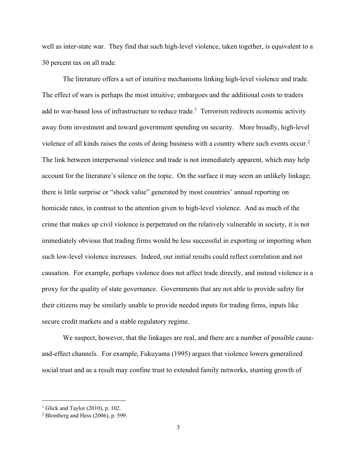well as inter-state war. They find that such high-level violence, taken together, is equivalent to a 30 percent tax on all trade.

The literature offers a set of intuitive mechanisms linking high-level violence and trade. The effect of wars is perhaps the most intuitive; embargoes and the additional costs to traders add to war-based loss of infrastructure to reduce trade.<sup>[1](#page-3-0)</sup> Terrorism redirects economic activity away from investment and toward government spending on security. More broadly, high-level violence of all kinds raises the costs of doing business with a country where such events occur.<sup>[2](#page-3-1)</sup> The link between interpersonal violence and trade is not immediately apparent, which may help account for the literature's silence on the topic. On the surface it may seem an unlikely linkage; there is little surprise or "shock value" generated by most countries' annual reporting on homicide rates, in contrast to the attention given to high-level violence. And as much of the crime that makes up civil violence is perpetrated on the relatively vulnerable in society, it is not immediately obvious that trading firms would be less successful in exporting or importing when such low-level violence increases. Indeed, our initial results could reflect correlation and not causation. For example, perhaps violence does not affect trade directly, and instead violence is a proxy for the quality of state governance. Governments that are not able to provide safety for their citizens may be similarly unable to provide needed inputs for trading firms, inputs like secure credit markets and a stable regulatory regime.

We suspect, however, that the linkages are real, and there are a number of possible causeand-effect channels. For example, Fukuyama (1995) argues that violence lowers generalized social trust and as a result may confine trust to extended family networks, stunting growth of

<span id="page-3-0"></span> $1$  Glick and Taylor (2010), p. 102.

<span id="page-3-1"></span> $2$  Blomberg and Hess (2006), p. 599.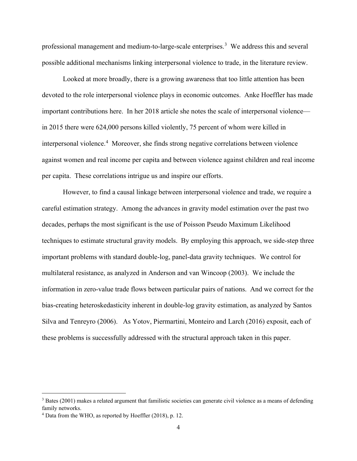professional management and medium-to-large-scale enterprises.<sup>[3](#page-4-0)</sup> We address this and several possible additional mechanisms linking interpersonal violence to trade, in the literature review.

Looked at more broadly, there is a growing awareness that too little attention has been devoted to the role interpersonal violence plays in economic outcomes. Anke Hoeffler has made important contributions here. In her 2018 article she notes the scale of interpersonal violence in 2015 there were 624,000 persons killed violently, 75 percent of whom were killed in interpersonal violence.<sup>[4](#page-4-1)</sup> Moreover, she finds strong negative correlations between violence against women and real income per capita and between violence against children and real income per capita. These correlations intrigue us and inspire our efforts.

However, to find a causal linkage between interpersonal violence and trade, we require a careful estimation strategy. Among the advances in gravity model estimation over the past two decades, perhaps the most significant is the use of Poisson Pseudo Maximum Likelihood techniques to estimate structural gravity models. By employing this approach, we side-step three important problems with standard double-log, panel-data gravity techniques. We control for multilateral resistance, as analyzed in Anderson and van Wincoop (2003). We include the information in zero-value trade flows between particular pairs of nations. And we correct for the bias-creating heteroskedasticity inherent in double-log gravity estimation, as analyzed by Santos Silva and Tenreyro (2006). As Yotov, Piermartini, Monteiro and Larch (2016) exposit, each of these problems is successfully addressed with the structural approach taken in this paper.

<span id="page-4-0"></span> $3$  Bates (2001) makes a related argument that familistic societies can generate civil violence as a means of defending family networks.

<span id="page-4-1"></span><sup>4</sup> Data from the WHO, as reported by Hoeffler (2018), p. 12.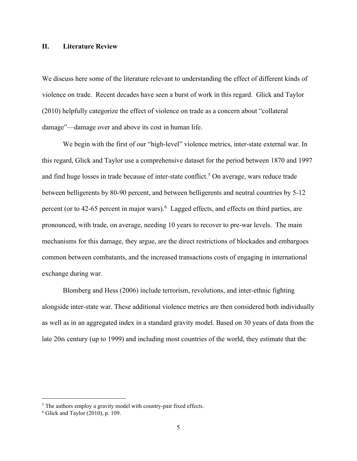#### **II. Literature Review**

We discuss here some of the literature relevant to understanding the effect of different kinds of violence on trade. Recent decades have seen a burst of work in this regard. Glick and Taylor (2010) helpfully categorize the effect of violence on trade as a concern about "collateral damage"—damage over and above its cost in human life.

We begin with the first of our "high-level" violence metrics, inter-state external war. In this regard, Glick and Taylor use a comprehensive dataset for the period between 1870 and 1997 and find huge losses in trade because of inter-state conflict.<sup>[5](#page-5-0)</sup> On average, wars reduce trade between belligerents by 80-90 percent, and between belligerents and neutral countries by 5-12 percent (or to 42-[6](#page-5-1)5 percent in major wars).  $6$  Lagged effects, and effects on third parties, are pronounced, with trade, on average, needing 10 years to recover to pre-war levels. The main mechanisms for this damage, they argue, are the direct restrictions of blockades and embargoes common between combatants, and the increased transactions costs of engaging in international exchange during war.

Blomberg and Hess (2006) include terrorism, revolutions, and inter-ethnic fighting alongside inter-state war. These additional violence metrics are then considered both individually as well as in an aggregated index in a standard gravity model. Based on 30 years of data from the late 20th century (up to 1999) and including most countries of the world, they estimate that the

<span id="page-5-0"></span> $5$  The authors employ a gravity model with country-pair fixed effects.  $6$  Glick and Taylor (2010), p. 109.

<span id="page-5-1"></span>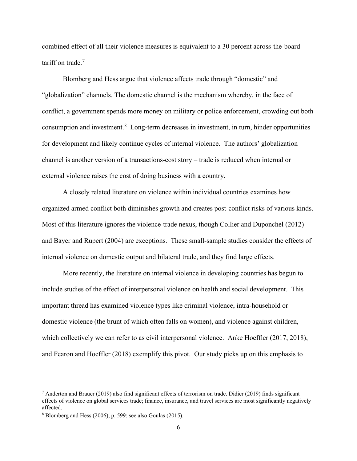combined effect of all their violence measures is equivalent to a 30 percent across-the-board tariff on trade.<sup>[7](#page-6-0)</sup>

Blomberg and Hess argue that violence affects trade through "domestic" and "globalization" channels. The domestic channel is the mechanism whereby, in the face of conflict, a government spends more money on military or police enforcement, crowding out both consumption and investment.<sup>[8](#page-6-1)</sup> Long-term decreases in investment, in turn, hinder opportunities for development and likely continue cycles of internal violence. The authors' globalization channel is another version of a transactions-cost story – trade is reduced when internal or external violence raises the cost of doing business with a country.

A closely related literature on violence within individual countries examines how organized armed conflict both diminishes growth and creates post-conflict risks of various kinds. Most of this literature ignores the violence-trade nexus, though Collier and Duponchel (2012) and Bayer and Rupert (2004) are exceptions. These small-sample studies consider the effects of internal violence on domestic output and bilateral trade, and they find large effects.

More recently, the literature on internal violence in developing countries has begun to include studies of the effect of interpersonal violence on health and social development. This important thread has examined violence types like criminal violence, intra-household or domestic violence (the brunt of which often falls on women), and violence against children, which collectively we can refer to as civil interpersonal violence. Anke Hoeffler (2017, 2018), and Fearon and Hoeffler (2018) exemplify this pivot. Our study picks up on this emphasis to

<span id="page-6-0"></span> $^7$  Anderton and Brauer (2019) also find significant effects of terrorism on trade. Didier (2019) finds significant effects of violence on global services trade; finance, insurance, and travel services are most significantly negatively affected.

<span id="page-6-1"></span><sup>8</sup> Blomberg and Hess (2006), p. 599; see also Goulas (2015).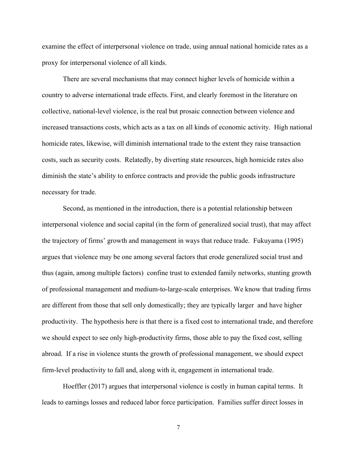examine the effect of interpersonal violence on trade, using annual national homicide rates as a proxy for interpersonal violence of all kinds.

There are several mechanisms that may connect higher levels of homicide within a country to adverse international trade effects. First, and clearly foremost in the literature on collective, national-level violence, is the real but prosaic connection between violence and increased transactions costs, which acts as a tax on all kinds of economic activity. High national homicide rates, likewise, will diminish international trade to the extent they raise transaction costs, such as security costs. Relatedly, by diverting state resources, high homicide rates also diminish the state's ability to enforce contracts and provide the public goods infrastructure necessary for trade.

Second, as mentioned in the introduction, there is a potential relationship between interpersonal violence and social capital (in the form of generalized social trust), that may affect the trajectory of firms' growth and management in ways that reduce trade. Fukuyama (1995) argues that violence may be one among several factors that erode generalized social trust and thus (again, among multiple factors) confine trust to extended family networks, stunting growth of professional management and medium-to-large-scale enterprises. We know that trading firms are different from those that sell only domestically; they are typically larger and have higher productivity. The hypothesis here is that there is a fixed cost to international trade, and therefore we should expect to see only high-productivity firms, those able to pay the fixed cost, selling abroad. If a rise in violence stunts the growth of professional management, we should expect firm-level productivity to fall and, along with it, engagement in international trade.

Hoeffler (2017) argues that interpersonal violence is costly in human capital terms. It leads to earnings losses and reduced labor force participation. Families suffer direct losses in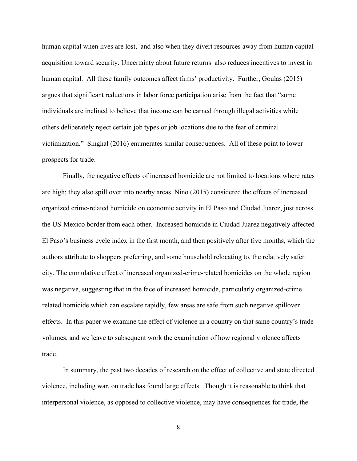human capital when lives are lost, and also when they divert resources away from human capital acquisition toward security. Uncertainty about future returns also reduces incentives to invest in human capital. All these family outcomes affect firms' productivity. Further, Goulas (2015) argues that significant reductions in labor force participation arise from the fact that "some individuals are inclined to believe that income can be earned through illegal activities while others deliberately reject certain job types or job locations due to the fear of criminal victimization." Singhal (2016) enumerates similar consequences. All of these point to lower prospects for trade.

Finally, the negative effects of increased homicide are not limited to locations where rates are high; they also spill over into nearby areas. Nino (2015) considered the effects of increased organized crime-related homicide on economic activity in El Paso and Ciudad Juarez, just across the US-Mexico border from each other. Increased homicide in Ciudad Juarez negatively affected El Paso's business cycle index in the first month, and then positively after five months, which the authors attribute to shoppers preferring, and some household relocating to, the relatively safer city. The cumulative effect of increased organized-crime-related homicides on the whole region was negative, suggesting that in the face of increased homicide, particularly organized-crime related homicide which can escalate rapidly, few areas are safe from such negative spillover effects. In this paper we examine the effect of violence in a country on that same country's trade volumes, and we leave to subsequent work the examination of how regional violence affects trade.

In summary, the past two decades of research on the effect of collective and state directed violence, including war, on trade has found large effects. Though it is reasonable to think that interpersonal violence, as opposed to collective violence, may have consequences for trade, the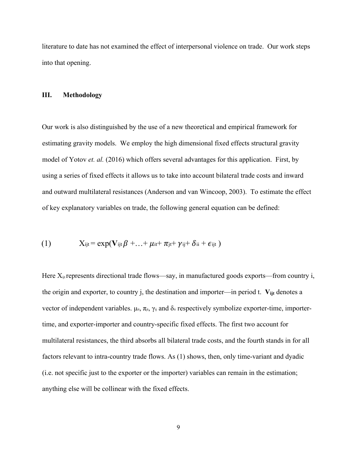literature to date has not examined the effect of interpersonal violence on trade. Our work steps into that opening.

#### **III. Methodology**

Our work is also distinguished by the use of a new theoretical and empirical framework for estimating gravity models. We employ the high dimensional fixed effects structural gravity model of Yotov *et. al.* (2016) which offers several advantages for this application. First, by using a series of fixed effects it allows us to take into account bilateral trade costs and inward and outward multilateral resistances (Anderson and van Wincoop, 2003). To estimate the effect of key explanatory variables on trade, the following general equation can be defined:

(1) 
$$
X_{ijt} = exp(\mathbf{V}_{ijt} \boldsymbol{\beta} + ... + \mu_{it} + \pi_{jt} + \gamma_{ij} + \delta_{ii} + \epsilon_{ijt})
$$

Here  $X_{ij}$  represents directional trade flows—say, in manufactured goods exports—from country i, the origin and exporter, to country j, the destination and importer—in period t.  $V_{ijt}$  denotes a vector of independent variables.  $\mu_{it}$ ,  $\pi_{jt}$ ,  $\gamma_{ij}$  and  $\delta_{ii}$  respectively symbolize exporter-time, importertime, and exporter-importer and country-specific fixed effects. The first two account for multilateral resistances, the third absorbs all bilateral trade costs, and the fourth stands in for all factors relevant to intra-country trade flows. As (1) shows, then, only time-variant and dyadic (i.e. not specific just to the exporter or the importer) variables can remain in the estimation; anything else will be collinear with the fixed effects.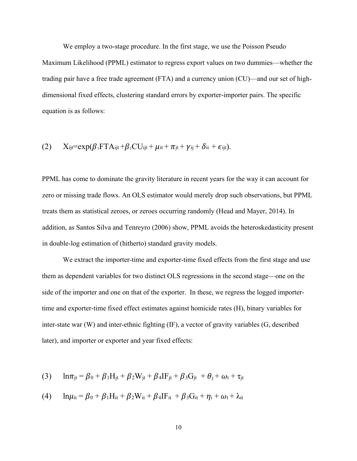We employ a two-stage procedure. In the first stage, we use the Poisson Pseudo Maximum Likelihood (PPML) estimator to regress export values on two dummies—whether the trading pair have a free trade agreement (FTA) and a currency union (CU)—and our set of highdimensional fixed effects, clustering standard errors by exporter-importer pairs. The specific equation is as follows:

(2) 
$$
X_{ijt} = exp(\beta_1 FT A_{ijt} + \beta_2 CU_{ijt} + \mu_{it} + \pi_{jt} + \gamma_{ij} + \delta_{ii} + \epsilon_{ijt}).
$$

PPML has come to dominate the gravity literature in recent years for the way it can account for zero or missing trade flows. An OLS estimator would merely drop such observations, but PPML treats them as statistical zeroes, or zeroes occurring randomly (Head and Mayer, 2014). In addition, as Santos Silva and Tenreyro (2006) show, PPML avoids the heteroskedasticity present in double-log estimation of (hitherto) standard gravity models.

We extract the importer-time and exporter-time fixed effects from the first stage and use them as dependent variables for two distinct OLS regressions in the second stage—one on the side of the importer and one on that of the exporter. In these, we regress the logged importertime and exporter-time fixed effect estimates against homicide rates (H), binary variables for inter-state war (W) and inter-ethnic fighting (IF), a vector of gravity variables (G, described later), and importer or exporter and year fixed effects:

(3) 
$$
\ln \pi_{jt} = \beta_0 + \beta_1 H_{jt} + \beta_2 W_{jt} + \beta_4 H_{jt} + \beta_3 G_{jt} + \theta_j + \omega_t + \tau_{jt}
$$

(4) 
$$
\ln \mu_{it} = \beta_0 + \beta_1 H_{it} + \beta_2 W_{it} + \beta_4 I F_{it} + \beta_3 G_{it} + \eta_i + \omega_t + \lambda_{it}
$$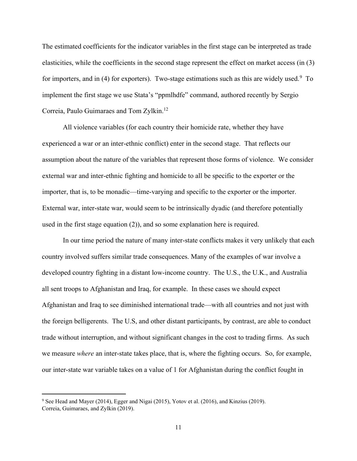The estimated coefficients for the indicator variables in the first stage can be interpreted as trade elasticities, while the coefficients in the second stage represent the effect on market access (in (3) for importers, and in (4) for exporters). Two-stage estimations such as this are widely used.<sup>[9](#page-11-0)</sup> To implement the first stage we use Stata's "ppmlhdfe" command, authored recently by Sergio Correia, Paulo Guimaraes and Tom Zylkin.<sup>12</sup>

All violence variables (for each country their homicide rate, whether they have experienced a war or an inter-ethnic conflict) enter in the second stage. That reflects our assumption about the nature of the variables that represent those forms of violence. We consider external war and inter-ethnic fighting and homicide to all be specific to the exporter or the importer, that is, to be monadic—time-varying and specific to the exporter or the importer. External war, inter-state war, would seem to be intrinsically dyadic (and therefore potentially used in the first stage equation (2)), and so some explanation here is required.

In our time period the nature of many inter-state conflicts makes it very unlikely that each country involved suffers similar trade consequences. Many of the examples of war involve a developed country fighting in a distant low-income country. The U.S., the U.K., and Australia all sent troops to Afghanistan and Iraq, for example. In these cases we should expect Afghanistan and Iraq to see diminished international trade—with all countries and not just with the foreign belligerents. The U.S, and other distant participants, by contrast, are able to conduct trade without interruption, and without significant changes in the cost to trading firms. As such we measure *where* an inter-state takes place, that is, where the fighting occurs. So, for example, our inter-state war variable takes on a value of 1 for Afghanistan during the conflict fought in

<span id="page-11-0"></span><sup>9</sup> See Head and Mayer (2014), Egger and Nigai (2015), Yotov et al. (2016), and Kinzius (2019). Correia, Guimaraes, and Zylkin (2019).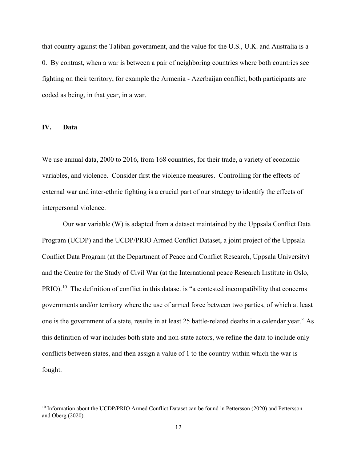that country against the Taliban government, and the value for the U.S., U.K. and Australia is a 0. By contrast, when a war is between a pair of neighboring countries where both countries see fighting on their territory, for example the Armenia - Azerbaijan conflict, both participants are coded as being, in that year, in a war.

#### **IV. Data**

We use annual data, 2000 to 2016, from 168 countries, for their trade, a variety of economic variables, and violence. Consider first the violence measures. Controlling for the effects of external war and inter-ethnic fighting is a crucial part of our strategy to identify the effects of interpersonal violence.

Our war variable (W) is adapted from a dataset maintained by the Uppsala Conflict Data Program (UCDP) and the UCDP/PRIO Armed Conflict Dataset, a joint project of the Uppsala Conflict Data Program (at the Department of Peace and Conflict Research, Uppsala University) and the Centre for the Study of Civil War (at the International peace Research Institute in Oslo, PRIO).<sup>10</sup> The definition of conflict in this dataset is "a contested incompatibility that concerns governments and/or territory where the use of armed force between two parties, of which at least one is the government of a state, results in at least 25 battle-related deaths in a calendar year." As this definition of war includes both state and non-state actors, we refine the data to include only conflicts between states, and then assign a value of 1 to the country within which the war is fought.

<span id="page-12-0"></span><sup>&</sup>lt;sup>10</sup> Information about the UCDP/PRIO Armed Conflict Dataset can be found in Pettersson (2020) and Pettersson and Oberg (2020).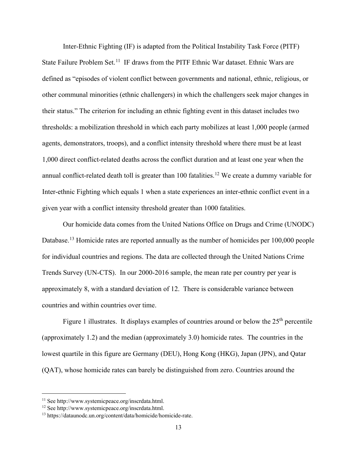Inter-Ethnic Fighting (IF) is adapted from the Political Instability Task Force (PITF) State Failure Problem Set.<sup>[11](#page-13-0)</sup> IF draws from the PITF Ethnic War dataset. Ethnic Wars are defined as "episodes of violent conflict between governments and national, ethnic, religious, or other communal minorities (ethnic challengers) in which the challengers seek major changes in their status." The criterion for including an ethnic fighting event in this dataset includes two thresholds: a mobilization threshold in which each party mobilizes at least 1,000 people (armed agents, demonstrators, troops), and a conflict intensity threshold where there must be at least 1,000 direct conflict-related deaths across the conflict duration and at least one year when the annual conflict-related death toll is greater than 100 fatalities.<sup>[12](#page-13-1)</sup> We create a dummy variable for Inter-ethnic Fighting which equals 1 when a state experiences an inter-ethnic conflict event in a given year with a conflict intensity threshold greater than 1000 fatalities.

Our homicide data comes from the United Nations Office on Drugs and Crime (UNODC) Database.<sup>[13](#page-13-2)</sup> Homicide rates are reported annually as the number of homicides per 100,000 people for individual countries and regions. The data are collected through the United Nations Crime Trends Survey (UN-CTS). In our 2000-2016 sample, the mean rate per country per year is approximately 8, with a standard deviation of 12. There is considerable variance between countries and within countries over time.

Figure 1 illustrates. It displays examples of countries around or below the  $25<sup>th</sup>$  percentile (approximately 1.2) and the median (approximately 3.0) homicide rates. The countries in the lowest quartile in this figure are Germany (DEU), Hong Kong (HKG), Japan (JPN), and Qatar (QAT), whose homicide rates can barely be distinguished from zero. Countries around the

<span id="page-13-2"></span><span id="page-13-1"></span>

<span id="page-13-0"></span><sup>&</sup>lt;sup>11</sup> See http://www.systemicpeace.org/inscrdata.html.<br><sup>12</sup> See http://www.systemicpeace.org/inscrdata.html.<br><sup>13</sup> https://dataunodc.un.org/content/data/homicide/homicide-rate.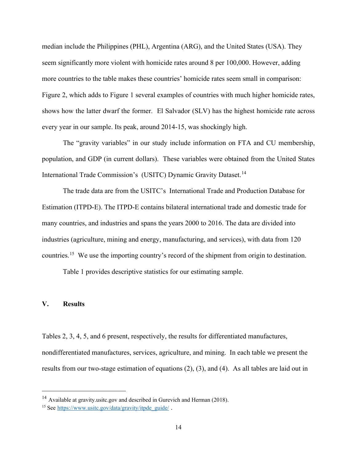median include the Philippines (PHL), Argentina (ARG), and the United States (USA). They seem significantly more violent with homicide rates around 8 per 100,000. However, adding more countries to the table makes these countries' homicide rates seem small in comparison: Figure 2, which adds to Figure 1 several examples of countries with much higher homicide rates, shows how the latter dwarf the former. El Salvador (SLV) has the highest homicide rate across every year in our sample. Its peak, around 2014-15, was shockingly high.

The "gravity variables" in our study include information on FTA and CU membership, population, and GDP (in current dollars). These variables were obtained from the United States International Trade Commission's (USITC) Dynamic Gravity Dataset.<sup>[14](#page-14-0)</sup>

The trade data are from the USITC's International Trade and Production Database for Estimation (ITPD-E). The ITPD-E contains bilateral international trade and domestic trade for many countries, and industries and spans the years 2000 to 2016. The data are divided into industries (agriculture, mining and energy, manufacturing, and services), with data from 120 countries.<sup>15</sup> We use the importing country's record of the shipment from origin to destination.

Table 1 provides descriptive statistics for our estimating sample.

#### **V. Results**

Tables 2, 3, 4, 5, and 6 present, respectively, the results for differentiated manufactures, nondifferentiated manufactures, services, agriculture, and mining. In each table we present the results from our two-stage estimation of equations (2), (3), and (4). As all tables are laid out in

<span id="page-14-0"></span><sup>&</sup>lt;sup>14</sup> Available at gravity.usite.gov and described in Gurevich and Herman (2018).

<span id="page-14-1"></span><sup>15</sup> See [https://www.usitc.gov/data/gravity/itpde\\_guide/](https://www.usitc.gov/data/gravity/itpde_guide/) .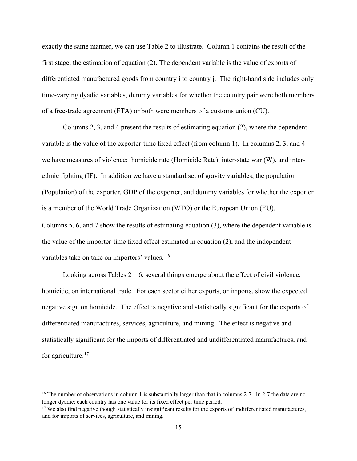exactly the same manner, we can use Table 2 to illustrate. Column 1 contains the result of the first stage, the estimation of equation (2). The dependent variable is the value of exports of differentiated manufactured goods from country i to country j. The right-hand side includes only time-varying dyadic variables, dummy variables for whether the country pair were both members of a free-trade agreement (FTA) or both were members of a customs union (CU).

Columns 2, 3, and 4 present the results of estimating equation (2), where the dependent variable is the value of the exporter-time fixed effect (from column 1). In columns 2, 3, and 4 we have measures of violence: homicide rate (Homicide Rate), inter-state war (W), and interethnic fighting (IF). In addition we have a standard set of gravity variables, the population (Population) of the exporter, GDP of the exporter, and dummy variables for whether the exporter is a member of the World Trade Organization (WTO) or the European Union (EU). Columns 5, 6, and 7 show the results of estimating equation (3), where the dependent variable is the value of the importer-time fixed effect estimated in equation (2), and the independent variables take on take on importers' values. [16](#page-15-0)

Looking across Tables  $2 - 6$ , several things emerge about the effect of civil violence, homicide, on international trade. For each sector either exports, or imports, show the expected negative sign on homicide. The effect is negative and statistically significant for the exports of differentiated manufactures, services, agriculture, and mining. The effect is negative and statistically significant for the imports of differentiated and undifferentiated manufactures, and for agriculture. $17$ 

<span id="page-15-0"></span><sup>&</sup>lt;sup>16</sup> The number of observations in column 1 is substantially larger than that in columns 2-7. In 2-7 the data are no longer dyadic; each country has one value for its fixed effect per time period.

<span id="page-15-1"></span> $17$  We also find negative though statistically insignificant results for the exports of undifferentiated manufactures, and for imports of services, agriculture, and mining.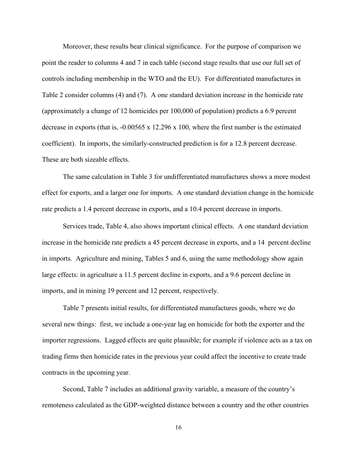Moreover, these results bear clinical significance. For the purpose of comparison we point the reader to columns 4 and 7 in each table (second stage results that use our full set of controls including membership in the WTO and the EU). For differentiated manufactures in Table 2 consider columns (4) and (7). A one standard deviation increase in the homicide rate (approximately a change of 12 homicides per 100,000 of population) predicts a 6.9 percent decrease in exports (that is, -0.00565 x 12.296 x 100, where the first number is the estimated coefficient). In imports, the similarly-constructed prediction is for a 12.8 percent decrease. These are both sizeable effects.

The same calculation in Table 3 for undifferentiated manufactures shows a more modest effect for exports, and a larger one for imports. A one standard deviation change in the homicide rate predicts a 1.4 percent decrease in exports, and a 10.4 percent decrease in imports.

Services trade, Table 4, also shows important clinical effects. A one standard deviation increase in the homicide rate predicts a 45 percent decrease in exports, and a 14 percent decline in imports. Agriculture and mining, Tables 5 and 6, using the same methodology show again large effects: in agriculture a 11.5 percent decline in exports, and a 9.6 percent decline in imports, and in mining 19 percent and 12 percent, respectively.

Table 7 presents initial results, for differentiated manufactures goods, where we do several new things: first, we include a one-year lag on homicide for both the exporter and the importer regressions. Lagged effects are quite plausible; for example if violence acts as a tax on trading firms then homicide rates in the previous year could affect the incentive to create trade contracts in the upcoming year.

Second, Table 7 includes an additional gravity variable, a measure of the country's remoteness calculated as the GDP-weighted distance between a country and the other countries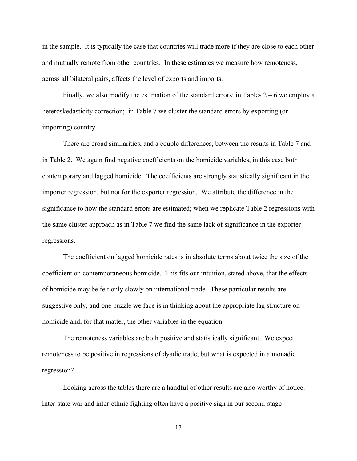in the sample. It is typically the case that countries will trade more if they are close to each other and mutually remote from other countries. In these estimates we measure how remoteness, across all bilateral pairs, affects the level of exports and imports.

Finally, we also modify the estimation of the standard errors; in Tables  $2 - 6$  we employ a heteroskedasticity correction; in Table 7 we cluster the standard errors by exporting (or importing) country.

There are broad similarities, and a couple differences, between the results in Table 7 and in Table 2. We again find negative coefficients on the homicide variables, in this case both contemporary and lagged homicide. The coefficients are strongly statistically significant in the importer regression, but not for the exporter regression. We attribute the difference in the significance to how the standard errors are estimated; when we replicate Table 2 regressions with the same cluster approach as in Table 7 we find the same lack of significance in the exporter regressions.

The coefficient on lagged homicide rates is in absolute terms about twice the size of the coefficient on contemporaneous homicide. This fits our intuition, stated above, that the effects of homicide may be felt only slowly on international trade. These particular results are suggestive only, and one puzzle we face is in thinking about the appropriate lag structure on homicide and, for that matter, the other variables in the equation.

The remoteness variables are both positive and statistically significant. We expect remoteness to be positive in regressions of dyadic trade, but what is expected in a monadic regression?

Looking across the tables there are a handful of other results are also worthy of notice. Inter-state war and inter-ethnic fighting often have a positive sign in our second-stage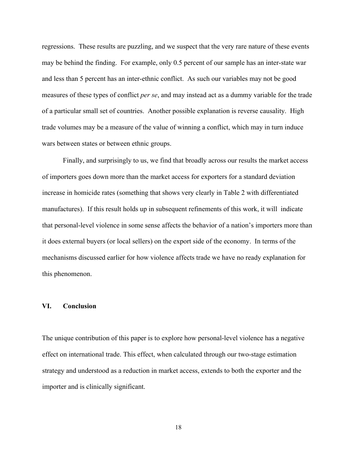regressions. These results are puzzling, and we suspect that the very rare nature of these events may be behind the finding. For example, only 0.5 percent of our sample has an inter-state war and less than 5 percent has an inter-ethnic conflict. As such our variables may not be good measures of these types of conflict *per se*, and may instead act as a dummy variable for the trade of a particular small set of countries. Another possible explanation is reverse causality. High trade volumes may be a measure of the value of winning a conflict, which may in turn induce wars between states or between ethnic groups.

Finally, and surprisingly to us, we find that broadly across our results the market access of importers goes down more than the market access for exporters for a standard deviation increase in homicide rates (something that shows very clearly in Table 2 with differentiated manufactures). If this result holds up in subsequent refinements of this work, it will indicate that personal-level violence in some sense affects the behavior of a nation's importers more than it does external buyers (or local sellers) on the export side of the economy. In terms of the mechanisms discussed earlier for how violence affects trade we have no ready explanation for this phenomenon.

#### **VI. Conclusion**

The unique contribution of this paper is to explore how personal-level violence has a negative effect on international trade. This effect, when calculated through our two-stage estimation strategy and understood as a reduction in market access, extends to both the exporter and the importer and is clinically significant.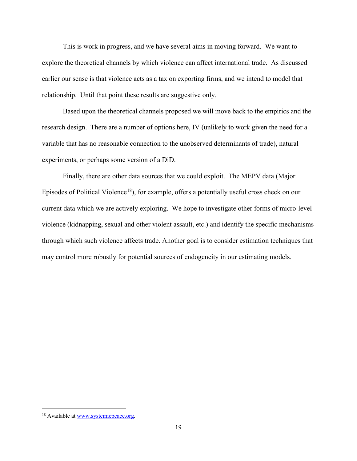This is work in progress, and we have several aims in moving forward. We want to explore the theoretical channels by which violence can affect international trade. As discussed earlier our sense is that violence acts as a tax on exporting firms, and we intend to model that relationship. Until that point these results are suggestive only.

Based upon the theoretical channels proposed we will move back to the empirics and the research design. There are a number of options here, IV (unlikely to work given the need for a variable that has no reasonable connection to the unobserved determinants of trade), natural experiments, or perhaps some version of a DiD.

Finally, there are other data sources that we could exploit. The MEPV data (Major Episodes of Political Violence<sup>[18](#page-19-0)</sup>), for example, offers a potentially useful cross check on our current data which we are actively exploring. We hope to investigate other forms of micro-level violence (kidnapping, sexual and other violent assault, etc.) and identify the specific mechanisms through which such violence affects trade. Another goal is to consider estimation techniques that may control more robustly for potential sources of endogeneity in our estimating models.

<span id="page-19-0"></span><sup>&</sup>lt;sup>18</sup> Available at [www.systemicpeace.org.](http://www.systemicpeace.org/)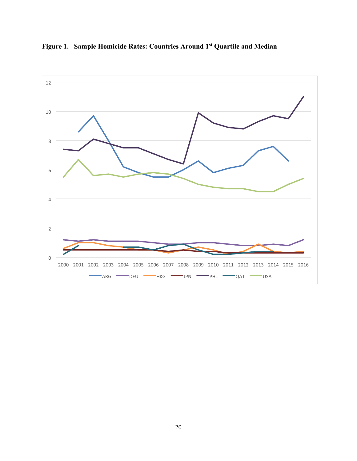

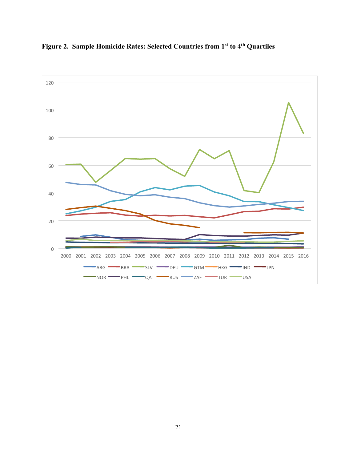

**Figure 2. Sample Homicide Rates: Selected Countries from 1st to 4th Quartiles**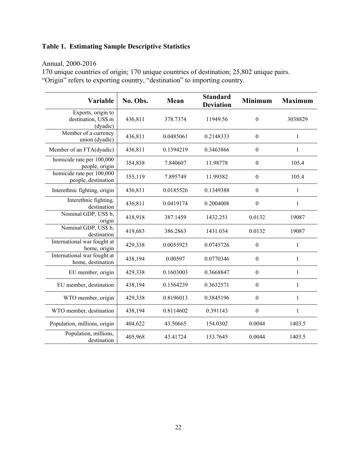### **Table 1. Estimating Sample Descriptive Statistics**

### Annual, 2000-2016

170 unique countries of origin; 170 unique countries of destination; 25,802 unique pairs. "Origin" refers to exporting country, "destination" to importing country.

| Variable                                              | No. Obs. | Mean      | <b>Standard</b><br><b>Deviation</b> | <b>Minimum</b>   | <b>Maximum</b> |
|-------------------------------------------------------|----------|-----------|-------------------------------------|------------------|----------------|
| Exports, origin to<br>destination, US\$ m<br>(dyadic) | 436,811  | 378.7374  | 11949.56                            | $\boldsymbol{0}$ | 3038829        |
| Member of a currency<br>union (dyadic)                | 436,811  | 0.0485061 | 0.2148333                           | $\mathbf{0}$     | 1              |
| Member of an FTA(dyadic)                              | 436,811  | 0.1394219 | 0.3463866                           | $\boldsymbol{0}$ | 1              |
| homicide rate per 100,000<br>people, origin           | 354,838  | 7.840607  | 11.98778                            | $\boldsymbol{0}$ | 105.4          |
| homicide rate per 100,000<br>people, destination      | 355,119  | 7.895749  | 11.99382                            | $\boldsymbol{0}$ | 105.4          |
| Interethnic fighting, origin                          | 436,811  | 0.0185526 | 0.1349388                           | $\boldsymbol{0}$ | $\mathbf{1}$   |
| Interethnic fighting,<br>destination                  | 436,811  | 0.0419174 | 0.2004008                           | $\boldsymbol{0}$ | 1              |
| Nominal GDP, US\$ b,<br>origin                        | 418,918  | 387.1459  | 1432.251                            | 0.0132           | 19087          |
| Nominal GDP, US\$ b,<br>destination                   | 419,683  | 386.2863  | 1431.034                            | 0.0132           | 19087          |
| International war fought at<br>home, origin           | 429,338  | 0.0055923 | 0.0745726                           | $\boldsymbol{0}$ | 1              |
| International war fought at<br>home, destination      | 438,194  | 0.00597   | 0.0770346                           | $\boldsymbol{0}$ | 1              |
| EU member, origin                                     | 429,338  | 0.1603003 | 0.3668847                           | $\boldsymbol{0}$ | $\mathbf{1}$   |
| EU member, destination                                | 438,194  | 0.1564239 | 0.3632571                           | $\boldsymbol{0}$ | 1              |
| WTO member, origin                                    | 429,338  | 0.8196013 | 0.3845196                           | $\boldsymbol{0}$ | 1              |
| WTO member, destination                               | 438,194  | 0.8114602 | 0.391143                            | $\boldsymbol{0}$ | $\mathbf{1}$   |
| Population, millions, origin                          | 404,622  | 43.50665  | 154.0302                            | 0.0044           | 1403.5         |
| Population, millions,<br>destination                  | 405,968  | 43.41724  | 153.7645                            | 0.0044           | 1403.5         |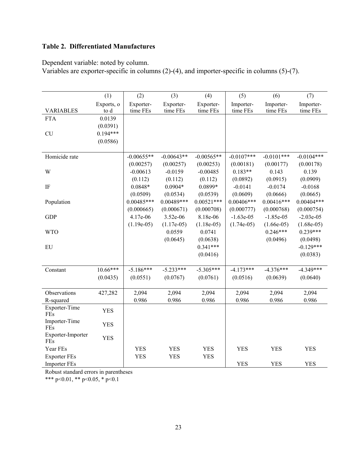### **Table 2. Differentiated Manufactures**

Dependent variable: noted by column.

Variables are exporter-specific in columns (2)-(4), and importer-specific in columns (5)-(7).

|                          | (1)        | (2)          | (3)          | (4)          | (5)          | (6)          | (7)          |
|--------------------------|------------|--------------|--------------|--------------|--------------|--------------|--------------|
|                          | Exports, o | Exporter-    | Exporter-    | Exporter-    | Importer-    | Importer-    | Importer-    |
| <b>VARIABLES</b>         | to d       | time FEs     | time FEs     | time FEs     | time FEs     | time FEs     | time FEs     |
| <b>FTA</b>               | 0.0139     |              |              |              |              |              |              |
|                          | (0.0391)   |              |              |              |              |              |              |
| <b>CU</b>                | $0.194***$ |              |              |              |              |              |              |
|                          | (0.0586)   |              |              |              |              |              |              |
| Homicide rate            |            | $-0.00655**$ | $-0.00643**$ | $-0.00565**$ | $-0.0107***$ | $-0.0101***$ | $-0.0104***$ |
|                          |            | (0.00257)    | (0.00257)    | (0.00253)    | (0.00181)    | (0.00177)    | (0.00178)    |
| W                        |            | $-0.00613$   | $-0.0159$    | $-0.00485$   | $0.183**$    | 0.143        | 0.139        |
|                          |            | (0.112)      | (0.112)      | (0.112)      | (0.0892)     | (0.0915)     | (0.0909)     |
| $\rm IF$                 |            | $0.0848*$    | $0.0904*$    | $0.0899*$    | $-0.0141$    | $-0.0174$    | $-0.0168$    |
|                          |            | (0.0509)     | (0.0534)     | (0.0539)     | (0.0609)     | (0.0666)     | (0.0665)     |
| Population               |            | $0.00485***$ | $0.00489***$ | $0.00521***$ | $0.00406***$ | $0.00416***$ | $0.00404***$ |
|                          |            | (0.000665)   | (0.000671)   | (0.000708)   | (0.000777)   | (0.000768)   | (0.000754)   |
| <b>GDP</b>               |            | 4.17e-06     | 3.52e-06     | 8.18e-06     | $-1.63e-05$  | $-1.85e-05$  | $-2.03e-05$  |
|                          |            | $(1.19e-05)$ | $(1.17e-05)$ | $(1.18e-05)$ | $(1.74e-05)$ | $(1.66e-05)$ | $(1.68e-05)$ |
| <b>WTO</b>               |            |              | 0.0559       | 0.0741       |              | $0.246***$   | $0.239***$   |
|                          |            |              | (0.0645)     | (0.0638)     |              | (0.0496)     | (0.0498)     |
| EU                       |            |              |              | $0.341***$   |              |              | $-0.129***$  |
|                          |            |              |              | (0.0416)     |              |              | (0.0383)     |
|                          |            |              |              |              |              |              |              |
| Constant                 | $10.66***$ | $-5.186***$  | $-5.233***$  | $-5.305***$  | $-4.173***$  | $-4.376***$  | $-4.349***$  |
|                          | (0.0435)   | (0.0551)     | (0.0767)     | (0.0761)     | (0.0516)     | (0.0639)     | (0.0640)     |
|                          |            |              |              |              |              |              |              |
| Observations             | 427,282    | 2,094        | 2,094        | 2,094        | 2,094        | 2,094        | 2,094        |
| R-squared                |            | 0.986        | 0.986        | 0.986        | 0.986        | 0.986        | 0.986        |
| Exporter-Time            | <b>YES</b> |              |              |              |              |              |              |
| FEs                      |            |              |              |              |              |              |              |
| Importer-Time<br>FEs     | <b>YES</b> |              |              |              |              |              |              |
| Exporter-Importer<br>FEs | <b>YES</b> |              |              |              |              |              |              |
| Year FEs                 |            | <b>YES</b>   | <b>YES</b>   | <b>YES</b>   | <b>YES</b>   | <b>YES</b>   | <b>YES</b>   |
| <b>Exporter FEs</b>      |            | <b>YES</b>   | <b>YES</b>   | <b>YES</b>   |              |              |              |
| <b>Importer FEs</b>      |            |              |              |              | <b>YES</b>   | <b>YES</b>   | <b>YES</b>   |

Robust standard errors in parentheses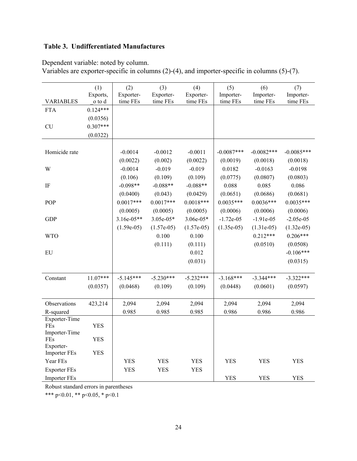### **Table 3. Undifferentiated Manufactures**

Dependent variable: noted by column.

| Variables are exporter-specific in columns $(2)-(4)$ , and importer-specific in columns $(5)-(7)$ . |  |
|-----------------------------------------------------------------------------------------------------|--|
|                                                                                                     |  |

|                      | (1)        | (2)          | (3)          | (4)          | (5)          | (6)           | (7)          |
|----------------------|------------|--------------|--------------|--------------|--------------|---------------|--------------|
|                      | Exports,   | Exporter-    | Exporter-    | Exporter-    | Importer-    | Importer-     | Importer-    |
| <b>VARIABLES</b>     | o to d     | time FEs     | time FEs     | time FEs     | time FEs     | time FEs      | time FEs     |
| <b>FTA</b>           | $0.124***$ |              |              |              |              |               |              |
|                      | (0.0356)   |              |              |              |              |               |              |
| <b>CU</b>            | $0.307***$ |              |              |              |              |               |              |
|                      | (0.0322)   |              |              |              |              |               |              |
|                      |            |              |              |              |              |               |              |
| Homicide rate        |            | $-0.0014$    | $-0.0012$    | $-0.0011$    | $-0.0087***$ | $-0.0082$ *** | $-0.0085***$ |
|                      |            | (0.0022)     | (0.002)      | (0.0022)     | (0.0019)     | (0.0018)      | (0.0018)     |
| W                    |            | $-0.0014$    | $-0.019$     | $-0.019$     | 0.0182       | $-0.0163$     | $-0.0198$    |
|                      |            | (0.106)      | (0.109)      | (0.109)      | (0.0775)     | (0.0807)      | (0.0803)     |
| IF                   |            | $-0.098**$   | $-0.088**$   | $-0.088**$   | 0.088        | 0.085         | 0.086        |
|                      |            | (0.0400)     | (0.043)      | (0.0429)     | (0.0651)     | (0.0686)      | (0.0681)     |
| POP                  |            | $0.0017***$  | $0.0017***$  | $0.0018***$  | $0.0035***$  | $0.0036***$   | $0.0035***$  |
|                      |            | (0.0005)     | (0.0005)     | (0.0005)     | (0.0006)     | (0.0006)      | (0.0006)     |
| <b>GDP</b>           |            | $3.16e-05**$ | $3.05e-05*$  | $3.06e-05*$  | $-1.72e-05$  | $-1.91e-05$   | $-2.05e-05$  |
|                      |            | $(1.59e-05)$ | $(1.57e-05)$ | $(1.57e-05)$ | $(1.35e-05)$ | $(1.31e-05)$  | $(1.32e-05)$ |
| <b>WTO</b>           |            |              | 0.100        | 0.100        |              | $0.212***$    | $0.206***$   |
|                      |            |              | (0.111)      | (0.111)      |              | (0.0510)      | (0.0508)     |
| EU                   |            |              |              | 0.012        |              |               | $-0.106***$  |
|                      |            |              |              | (0.031)      |              |               | (0.0315)     |
|                      |            |              |              |              |              |               |              |
| Constant             | $11.07***$ | $-5.145***$  | $-5.230***$  | $-5.232***$  | $-3.168***$  | $-3.344***$   | $-3.322***$  |
|                      | (0.0357)   | (0.0468)     | (0.109)      | (0.109)      | (0.0448)     | (0.0601)      | (0.0597)     |
|                      |            |              |              |              |              |               |              |
| Observations         | 423,214    | 2,094        | 2,094        | 2,094        | 2,094        | 2,094         | 2,094        |
| R-squared            |            | 0.985        | 0.985        | 0.985        | 0.986        | 0.986         | 0.986        |
| Exporter-Time        |            |              |              |              |              |               |              |
| FEs                  | YES        |              |              |              |              |               |              |
| Importer-Time<br>FEs |            |              |              |              |              |               |              |
| Exporter-            | <b>YES</b> |              |              |              |              |               |              |
| <b>Importer FEs</b>  | <b>YES</b> |              |              |              |              |               |              |
| Year FEs             |            | <b>YES</b>   | <b>YES</b>   | <b>YES</b>   | <b>YES</b>   | <b>YES</b>    | <b>YES</b>   |
| <b>Exporter FEs</b>  |            | <b>YES</b>   | <b>YES</b>   | <b>YES</b>   |              |               |              |
| <b>Importer FEs</b>  |            |              |              |              | <b>YES</b>   | <b>YES</b>    | <b>YES</b>   |

Robust standard errors in parentheses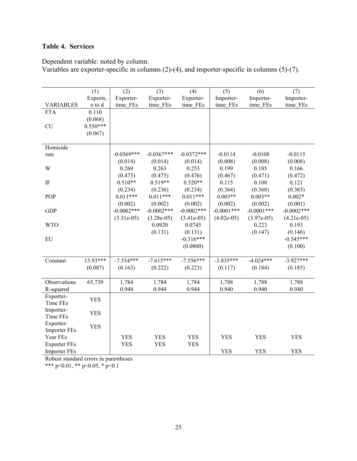### **Table 4. Services**

Dependent variable: noted by column.

Variables are exporter-specific in columns (2)-(4), and importer-specific in columns (5)-(7).

|                     | (1)        | (2)           | (3)           | (4)           | (5)           | (6)          | (7)          |
|---------------------|------------|---------------|---------------|---------------|---------------|--------------|--------------|
|                     | Exports,   | Exporter-     | Exporter-     | Exporter-     | Importer-     | Importer-    | Importer-    |
| <b>VARIABLES</b>    | o to d     | time FEs      | time FEs      | time FEs      | time FEs      | time FEs     | time FEs     |
| <b>FTA</b>          | 0.110      |               |               |               |               |              |              |
|                     | (0.068)    |               |               |               |               |              |              |
| CU                  | $0.550***$ |               |               |               |               |              |              |
|                     | (0.067)    |               |               |               |               |              |              |
|                     |            |               |               |               |               |              |              |
| Homicide            |            |               |               |               |               |              |              |
| rate                |            | $-0.0369***$  | $-0.0367***$  | $-0.0372***$  | $-0.0114$     | $-0.0108$    | $-0.0115$    |
|                     |            | (0.014)       | (0.014)       | (0.014)       | (0.008)       | (0.008)      | (0.008)      |
| W                   |            | 0.269         | 0.263         | 0.253         | 0.199         | 0.185        | 0.166        |
|                     |            | (0.473)       | (0.475)       | (0.476)       | (0.467)       | (0.471)      | (0.472)      |
| $\rm IF$            |            | $0.510**$     | $0.519**$     | $0.520**$     | 0.115         | 0.108        | 0.121        |
|                     |            | (0.234)       | (0.236)       | (0.234)       | (0.364)       | (0.368)      | (0.365)      |
| POP                 |            | $0.011***$    | $0.011***$    | $0.011***$    | $0.003**$     | $0.003**$    | $0.002*$     |
|                     |            | (0.002)       | (0.002)       | (0.002)       | (0.002)       | (0.002)      | (0.001)      |
| <b>GDP</b>          |            | $-0.0002$ *** | $-0.0002$ *** | $-0.0002$ *** | $-0.0001$ *** | $-0.0001***$ | $-0.0002***$ |
|                     |            | $(3.31e-05)$  | $(3.28e-05)$  | $(3.41e-05)$  | $(4.02e-05)$  | $(3.97e-05)$ | $(4.21e-05)$ |
| <b>WTO</b>          |            |               | 0.0920        | 0.0745        |               | 0.223        | 0.193        |
|                     |            |               | (0.131)       | (0.131)       |               | (0.147)      | (0.146)      |
| EU                  |            |               |               | $-0.316***$   |               |              | $-0.545***$  |
|                     |            |               |               | (0.0800)      |               |              | (0.100)      |
|                     |            |               |               |               |               |              |              |
| Constant            | 13.93***   | $-7.534***$   | $-7.615***$   | $-7.556***$   | $-3.835***$   | $-4.024***$  | $-3.927***$  |
|                     | (0.087)    | (0.163)       | (0.222)       | (0.223)       | (0.117)       | (0.184)      | (0.185)      |
|                     |            |               |               |               |               |              |              |
| Observations        | 65,739     | 1,784         | 1,784         | 1,784         | 1,788         | 1,788        | 1,788        |
| R-squared           |            | 0.944         | 0.944         | 0.944         | 0.940         | 0.940        | 0.940        |
| Exporter-           |            |               |               |               |               |              |              |
| Time FEs            | <b>YES</b> |               |               |               |               |              |              |
| Importer-           |            |               |               |               |               |              |              |
| Time FEs            | <b>YES</b> |               |               |               |               |              |              |
| Exporter-           |            |               |               |               |               |              |              |
| <b>Importer FEs</b> | <b>YES</b> |               |               |               |               |              |              |
| Year FEs            |            | <b>YES</b>    | <b>YES</b>    | <b>YES</b>    | <b>YES</b>    | <b>YES</b>   | <b>YES</b>   |
| <b>Exporter FEs</b> |            | <b>YES</b>    | <b>YES</b>    | <b>YES</b>    |               |              |              |
| <b>Importer FEs</b> |            |               |               |               | <b>YES</b>    | <b>YES</b>   | <b>YES</b>   |

Robust standard errors in parentheses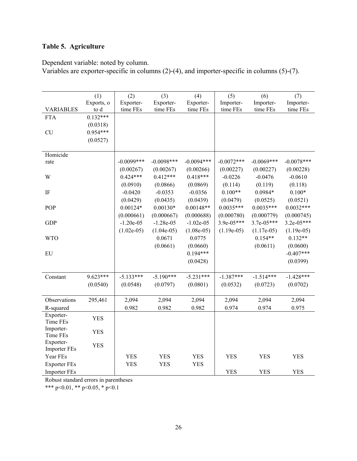### **Table 5. Agriculture**

Dependent variable: noted by column.

Variables are exporter-specific in columns (2)-(4), and importer-specific in columns (5)-(7).

|                       | (1)        | (2)           | (3)          | (4)          | (5)          | (6)          | (7)          |
|-----------------------|------------|---------------|--------------|--------------|--------------|--------------|--------------|
|                       | Exports, o | Exporter-     | Exporter-    | Exporter-    | Importer-    | Importer-    | Importer-    |
| <b>VARIABLES</b>      | to d       | time FEs      | time FEs     | time FEs     | time FEs     | time FEs     | time FEs     |
| <b>FTA</b>            | $0.132***$ |               |              |              |              |              |              |
|                       | (0.0318)   |               |              |              |              |              |              |
| <b>CU</b>             | $0.954***$ |               |              |              |              |              |              |
|                       | (0.0527)   |               |              |              |              |              |              |
| Homicide              |            |               |              |              |              |              |              |
| rate                  |            | $-0.0099$ *** | $-0.0098***$ | $-0.0094***$ | $-0.0072***$ | $-0.0069***$ | $-0.0078***$ |
|                       |            | (0.00267)     | (0.00267)    | (0.00266)    | (0.00227)    | (0.00227)    | (0.00228)    |
| W                     |            | $0.424***$    | $0.412***$   | $0.418***$   | $-0.0226$    | $-0.0476$    | $-0.0610$    |
|                       |            | (0.0910)      | (0.0866)     | (0.0869)     | (0.114)      | (0.119)      | (0.118)      |
| $\rm IF$              |            | $-0.0420$     | $-0.0353$    | $-0.0356$    | $0.100**$    | $0.0984*$    | $0.100*$     |
|                       |            | (0.0429)      | (0.0435)     | (0.0439)     | (0.0479)     | (0.0525)     | (0.0521)     |
| POP                   |            | $0.00124*$    | $0.00130*$   | $0.00148**$  | $0.0035***$  | $0.0035***$  | $0.0032***$  |
|                       |            | (0.000661)    | (0.000667)   | (0.000688)   | (0.000780)   | (0.000779)   | (0.000745)   |
| <b>GDP</b>            |            | $-1.20e-05$   | $-1.28e-05$  | $-1.02e-05$  | $3.9e-05***$ | 3.7e-05***   | $3.2e-05***$ |
|                       |            | $(1.02e-05)$  | $(1.04e-05)$ | $(1.08e-05)$ | $(1.19e-05)$ | $(1.17e-05)$ | $(1.19e-05)$ |
| <b>WTO</b>            |            |               | 0.0671       | 0.0775       |              | $0.154**$    | $0.132**$    |
|                       |            |               | (0.0661)     | (0.0660)     |              | (0.0611)     | (0.0600)     |
| EU                    |            |               |              | $0.194***$   |              |              | $-0.407***$  |
|                       |            |               |              | (0.0428)     |              |              | (0.0399)     |
|                       |            |               |              |              |              |              |              |
| Constant              | $9.623***$ | $-5.133***$   | $-5.190***$  | $-5.231***$  | $-1.387***$  | $-1.514***$  | $-1.428***$  |
|                       | (0.0540)   | (0.0548)      | (0.0797)     | (0.0801)     | (0.0532)     | (0.0723)     | (0.0702)     |
|                       |            |               |              |              |              |              |              |
| Observations          | 295,461    | 2,094         | 2,094        | 2,094        | 2,094        | 2,094        | 2,094        |
| R-squared             |            | 0.982         | 0.982        | 0.982        | 0.974        | 0.974        | 0.975        |
| Exporter-             | <b>YES</b> |               |              |              |              |              |              |
| Time FEs              |            |               |              |              |              |              |              |
| Importer-<br>Time FEs | <b>YES</b> |               |              |              |              |              |              |
| Exporter-             |            |               |              |              |              |              |              |
| <b>Importer FEs</b>   | <b>YES</b> |               |              |              |              |              |              |
| Year FEs              |            | <b>YES</b>    | <b>YES</b>   | <b>YES</b>   | <b>YES</b>   | <b>YES</b>   | <b>YES</b>   |
| <b>Exporter FEs</b>   |            | <b>YES</b>    | <b>YES</b>   | <b>YES</b>   |              |              |              |
| <b>Importer FEs</b>   |            |               |              |              | <b>YES</b>   | <b>YES</b>   | <b>YES</b>   |

Robust standard errors in parentheses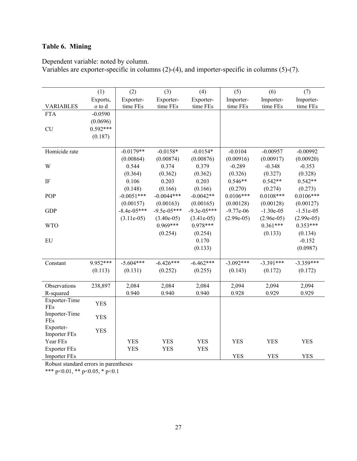## **Table 6. Mining**

Dependent variable: noted by column.

Variables are exporter-specific in columns (2)-(4), and importer-specific in columns (5)-(7).

|                      | (1)        | (2)           | (3)           | (4)           | (5)          | (6)          | (7)          |
|----------------------|------------|---------------|---------------|---------------|--------------|--------------|--------------|
|                      | Exports,   | Exporter-     | Exporter-     | Exporter-     | Importer-    | Importer-    | Importer-    |
| <b>VARIABLES</b>     | o to d     | time FEs      | time FEs      | time FEs      | time FEs     | time FEs     | time FEs     |
| <b>FTA</b>           | $-0.0590$  |               |               |               |              |              |              |
|                      | (0.0696)   |               |               |               |              |              |              |
| <b>CU</b>            | $0.592***$ |               |               |               |              |              |              |
|                      | (0.187)    |               |               |               |              |              |              |
|                      |            |               |               |               |              |              |              |
| Homicide rate        |            | $-0.0179**$   | $-0.0158*$    | $-0.0154*$    | $-0.0104$    | $-0.00957$   | $-0.00992$   |
|                      |            | (0.00864)     | (0.00874)     | (0.00876)     | (0.00916)    | (0.00917)    | (0.00920)    |
| W                    |            | 0.544         | 0.374         | 0.379         | $-0.289$     | $-0.348$     | $-0.353$     |
|                      |            | (0.364)       | (0.362)       | (0.362)       | (0.326)      | (0.327)      | (0.328)      |
| IF                   |            | 0.106         | 0.203         | 0.203         | $0.546**$    | $0.542**$    | $0.542**$    |
|                      |            | (0.148)       | (0.166)       | (0.166)       | (0.270)      | (0.274)      | (0.273)      |
| POP                  |            | $-0.0051***$  | $-0.0044***$  | $-0.0042**$   | $0.0106***$  | $0.0108***$  | $0.0106***$  |
|                      |            | (0.00157)     | (0.00163)     | (0.00165)     | (0.00128)    | (0.00128)    | (0.00127)    |
| <b>GDP</b>           |            | $-8.4e-05***$ | $-9.5e-05***$ | $-9.3e-05***$ | $-9.77e-06$  | $-1.30e-0.5$ | $-1.51e-05$  |
|                      |            | $(3.11e-05)$  | $(3.40e-05)$  | $(3.41e-05)$  | $(2.99e-05)$ | $(2.96e-05)$ | $(2.99e-05)$ |
| <b>WTO</b>           |            |               | $0.969***$    | $0.978***$    |              | $0.361***$   | $0.353***$   |
|                      |            |               | (0.254)       | (0.254)       |              | (0.133)      | (0.134)      |
| EU                   |            |               |               | 0.170         |              |              | $-0.152$     |
|                      |            |               |               | (0.133)       |              |              | (0.0987)     |
|                      |            |               |               |               |              |              |              |
| Constant             | 9.952***   | $-5.604***$   | $-6.426***$   | $-6.462***$   | $-3.092***$  | $-3.391***$  | $-3.359***$  |
|                      | (0.113)    | (0.131)       | (0.252)       | (0.255)       | (0.143)      | (0.172)      | (0.172)      |
|                      |            |               |               |               |              |              |              |
| Observations         | 238,897    | 2,084         | 2,084         | 2,084         | 2,094        | 2,094        | 2,094        |
| R-squared            |            | 0.940         | 0.940         | 0.940         | 0.928        | 0.929        | 0.929        |
| Exporter-Time        | <b>YES</b> |               |               |               |              |              |              |
| <b>FEs</b>           |            |               |               |               |              |              |              |
| Importer-Time<br>FEs | <b>YES</b> |               |               |               |              |              |              |
| Exporter-            | <b>YES</b> |               |               |               |              |              |              |
| <b>Importer FEs</b>  |            |               |               |               |              |              |              |
| Year FEs             |            | <b>YES</b>    | <b>YES</b>    | <b>YES</b>    | <b>YES</b>   | <b>YES</b>   | <b>YES</b>   |
| <b>Exporter FEs</b>  |            | <b>YES</b>    | <b>YES</b>    | <b>YES</b>    |              |              |              |
| <b>Importer FEs</b>  |            |               |               |               | <b>YES</b>   | <b>YES</b>   | <b>YES</b>   |

Robust standard errors in parentheses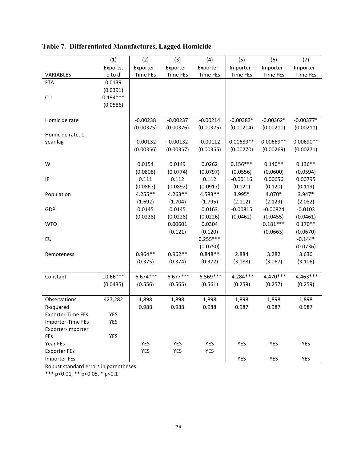|                          | (1)        | (2)                   | (3)         | (4)                   | (5)                   | (6)                    | (7)                   |
|--------------------------|------------|-----------------------|-------------|-----------------------|-----------------------|------------------------|-----------------------|
|                          | Exports,   | Exporter -            | Exporter -  | Exporter -            | Importer -            | Importer -             | Importer -            |
| VARIABLES                | o to d     | <b>Time FEs</b>       | Time FEs    | Time FEs              | <b>Time FEs</b>       | Time FEs               | Time FEs              |
| <b>FTA</b>               | 0.0139     |                       |             |                       |                       |                        |                       |
|                          | (0.0391)   |                       |             |                       |                       |                        |                       |
| CU                       | $0.194***$ |                       |             |                       |                       |                        |                       |
|                          | (0.0586)   |                       |             |                       |                       |                        |                       |
|                          |            |                       |             |                       |                       |                        |                       |
| Homicide rate            |            | $-0.00238$            | $-0.00237$  | $-0.00214$            | $-0.00383*$           | $-0.00362*$            | $-0.00377*$           |
|                          |            | (0.00375)             | (0.00376)   | (0.00375)             | (0.00214)             | (0.00211)              | (0.00211)             |
| Homicide rate, 1         |            |                       |             |                       |                       |                        |                       |
| year lag                 |            | $-0.00132$            | $-0.00132$  | $-0.00112$            | 0.00689**             | $0.00669**$            | $0.00690**$           |
|                          |            | (0.00356)             | (0.00357)   | (0.00355)             | (0.00270)             | (0.00269)              | (0.00271)             |
| W                        |            | 0.0154                | 0.0149      | 0.0262                | $0.156***$            | $0.140**$              | $0.136**$             |
|                          |            | (0.0808)              | (0.0774)    | (0.0797)              | (0.0556)              | (0.0600)               | (0.0594)              |
| IF                       |            | 0.111                 | 0.112       | 0.112                 | $-0.00116$            | 0.00656                | 0.00795               |
|                          |            |                       | (0.0892)    |                       |                       |                        | (0.119)               |
|                          |            | (0.0867)<br>$4.255**$ |             | (0.0917)<br>4.583**   | (0.121)<br>3.995*     | (0.120)                | 3.947*                |
| Population               |            |                       | $4.263**$   |                       |                       | 4.070*                 |                       |
|                          |            | (1.692)               | (1.704)     | (1.795)               | (2.112)<br>$-0.00815$ | (2.129)                | (2.082)               |
| GDP                      |            | 0.0145                | 0.0145      | 0.0163                |                       | $-0.00824$             | $-0.0103$             |
|                          |            | (0.0228)              | (0.0228)    | (0.0226)              | (0.0462)              | (0.0455)<br>$0.181***$ | (0.0461)<br>$0.170**$ |
| <b>WTO</b>               |            |                       | 0.00601     | 0.0304                |                       |                        |                       |
| EU                       |            |                       | (0.121)     | (0.120)<br>$0.255***$ |                       | (0.0663)               | (0.0670)<br>$-0.144*$ |
|                          |            |                       |             |                       |                       |                        |                       |
|                          |            | $0.964**$             | $0.962**$   | (0.0750)<br>$0.848**$ | 2.884                 | 3.282                  | (0.0736)<br>3.630     |
| Remoteness               |            | (0.375)               | (0.374)     | (0.372)               | (3.188)               | (3.067)                | (3.106)               |
|                          |            |                       |             |                       |                       |                        |                       |
| Constant                 | 10.66***   | $-6.674***$           | $-6.677***$ | $-6.569***$           | $-4.284***$           | $-4.470***$            | $-4.463***$           |
|                          | (0.0435)   | (0.556)               | (0.565)     | (0.561)               | (0.259)               | (0.257)                | (0.259)               |
|                          |            |                       |             |                       |                       |                        |                       |
| Observations             | 427,282    | 1,898                 | 1,898       | 1,898                 | 1,898                 | 1,898                  | 1,898                 |
| R-squared                |            | 0.988                 | 0.988       | 0.988                 | 0.987                 | 0.987                  | 0.987                 |
| <b>Exporter-Time FEs</b> | YES        |                       |             |                       |                       |                        |                       |
| Importer-Time FEs        | YES        |                       |             |                       |                       |                        |                       |
| Exporter-Importer        |            |                       |             |                       |                       |                        |                       |
| FEs                      | YES        |                       |             |                       |                       |                        |                       |
| Year FEs                 |            | <b>YES</b>            | <b>YES</b>  | <b>YES</b>            | YES                   | <b>YES</b>             | YES                   |
| <b>Exporter FEs</b>      |            | <b>YES</b>            | YES         | YES                   |                       |                        |                       |
| <b>Importer FEs</b>      |            |                       |             |                       | YES                   | YES                    | YES                   |

**Table 7. Differentiated Manufactures, Lagged Homicide**

Robust standard errors in parentheses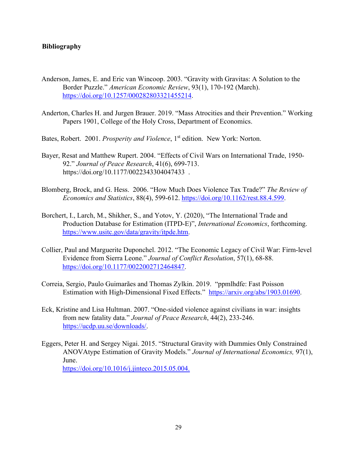### **Bibliography**

- Anderson, James, E. and Eric van Wincoop. 2003. "Gravity with Gravitas: A Solution to the Border Puzzle." *American Economic Review*, 93(1), 170-192 (March). [https://doi.org/10.1257/000282803321455214.](https://doi.org/10.1257/000282803321455214)
- Anderton, Charles H. and Jurgen Brauer. 2019. "Mass Atrocities and their Prevention." Working Papers 1901, College of the Holy Cross, Department of Economics.
- Bates, Robert. 2001. *Prosperity and Violence*, 1<sup>st</sup> edition. New York: Norton.
- Bayer, Resat and Matthew Rupert. 2004. "Effects of Civil Wars on International Trade, 1950- 92." *Journal of Peace Research*, 41(6), 699-713. https://doi.org[/10.1177/0022343304047433](https://www.researchgate.net/deref/http%3A%2F%2Fdx.doi.org%2F10.1177%2F0022343304047433).
- Blomberg, Brock, and G. Hess. 2006. "How Much Does Violence Tax Trade?" *The Review of Economics and Statistics*, 88(4), 599-612. [https://doi.org/10.1162/rest.88.4.599.](https://doi.org/10.1162/rest.88.4.599)
- Borchert, I., Larch, M., Shikher, S., and Yotov, Y. (2020), "The International Trade and Production Database for Estimation (ITPD-E)", *International Economics*, forthcoming. [https://www.usitc.gov/data/gravity/itpde.htm.](https://www.usitc.gov/data/gravity/itpde.htm)
- Collier, Paul and Marguerite Duponchel. 2012. "The Economic Legacy of Civil War: Firm-level Evidence from Sierra Leone." *Journal of Conflict Resolution*, 57(1), 68-88. [https://doi.org/10.1177/0022002712464847.](https://doi.org/10.1177/0022002712464847)
- [Correia,](https://arxiv.org/search/econ?searchtype=author&query=Correia%2C+S) Sergio, [Paulo Guimarães](https://arxiv.org/search/econ?searchtype=author&query=Guimar%C3%A3es%2C+P) [a](https://arxiv.org/search/econ?searchtype=author&query=Guimar%C3%A3es%2C+P)nd [Thomas Zylkin.](https://arxiv.org/search/econ?searchtype=author&query=Zylkin%2C+T) 2019. "ppmlhdfe: Fast Poisson Estimation with High-Dimensional Fixed Effects." [https://arxiv.org/abs/1903.01690.](https://arxiv.org/abs/1903.01690)
- Eck, Kristine and Lisa Hultman. 2007. "One-sided violence against civilians in war: insights from new fatality data." *Journal of Peace Research*, 44(2), 233-246. [https://ucdp.uu.se/downloads/.](https://ucdp.uu.se/downloads/)
- Eggers, Peter H. and Sergey Nigai. 2015. "Structural Gravity with Dummies Only Constrained ANOVAtype Estimation of Gravity Models." *Journal of International Economics,* 97(1), June. <https://doi.org/10.1016/j.jinteco.2015.05.004.>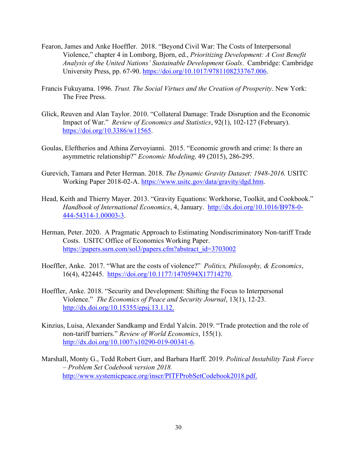- Fearon, James and Anke Hoeffler. 2018. "Beyond Civil War: The Costs of Interpersonal Violence," chapter 4 in Lomborg, Bjorn, ed., *Prioritizing Development: A Cost Benefit Analysis of the United Nations' Sustainable Development Goals*. Cambridge: Cambridge University Press, pp. 67-90. [https://doi.org/10.1017/9781108233767.006.](https://doi.org/10.1017/9781108233767.006)
- Francis Fukuyama. 1996. *Trust. The Social Virtues and the Creation of Prosperity*. New York: The Free Press.
- Glick, Reuven and Alan Taylor. 2010. "Collateral Damage: Trade Disruption and the Economic Impact of War." *Review of Economics and Statistics*, 92(1), 102-127 (February). [https://doi.org/10.3386/w11565.](https://doi.org/10.3386/w11565)
- Goulas, Eleftherios and Athina Zervoyianni. 2015. "Economic growth and crime: Is there an asymmetric relationship?" *Economic Modeling,* 49 (2015), 286-295.
- Gurevich, Tamara and Peter Herman. 2018. *The Dynamic Gravity Dataset: 1948-2016.* USITC Working Paper 2018-02-A. [https://www.usitc.gov/data/gravity/dgd.htm.](https://www.usitc.gov/data/gravity/dgd.htm)
- Head, Keith and Thierry Mayer. 2013. "Gravity Equations: Workhorse, Toolkit, and Cookbook." *Handbook of International Economics*, 4, January. [http://dx.doi.org/10.1016/B978-0-](http://dx.doi.org/10.1016/B978-0-444-54314-1.00003-3) [444-54314-1.00003-3.](http://dx.doi.org/10.1016/B978-0-444-54314-1.00003-3)
- Herman, Peter. 2020. A Pragmatic Approach to Estimating Nondiscriminatory Non-tariff Trade Costs. USITC Office of Economics Working Paper. [https://papers.ssrn.com/sol3/papers.cfm?abstract\\_id=3703002](https://papers.ssrn.com/sol3/papers.cfm?abstract_id=3703002)
- Hoeffler, Anke. 2017. "What are the costs of violence?" *Politics, Philosophy, & Economics*, 16(4), 422445. [https://doi.org/10.1177/1470594X17714270.](https://doi.org/10.1177%2F1470594X17714270)
- Hoeffler, Anke. 2018. "Security and Development: Shifting the Focus to Interpersonal Violence." *The Economics of Peace and Security Journal*, 13(1), 12-23[.](http://dx.doi.org/10.15355/epsj.13.1.12) [http://dx.doi.org/10.15355/epsj.13.1.12.](http://dx.doi.org/10.15355/epsj.13.1.12)
- Kinzius, Luisa, Alexander Sandkamp and Erdal Yalcin. 2019. "Trade protection and the role of non-tariff barriers." *Review of World Economics*, 155(1). [http://dx.doi.org/10.1007/s10290-019-00341-6.](http://dx.doi.org/10.1007/s10290-019-00341-6)
- Marshall, Monty G., Tedd Robert Gurr, and Barbara Harff. 2019. *Political Instability Task Force – Problem Set Codebook version 2018.* <http://www.systemicpeace.org/inscr/PITFProbSetCodebook2018.pdf.>